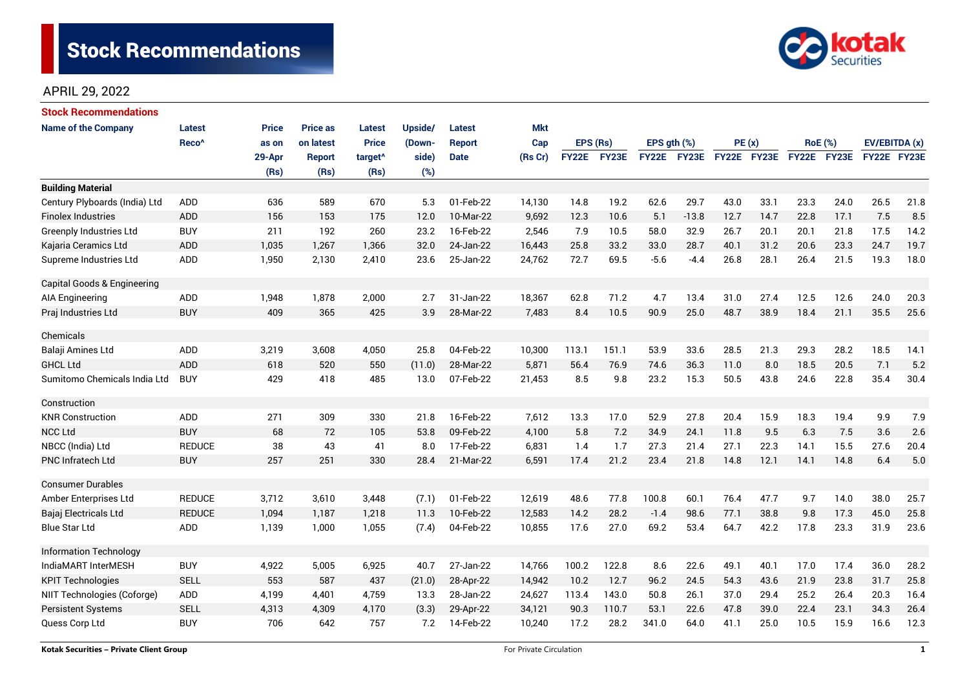

| <b>Stock Recommendations</b>   |                   |              |                 |                     |         |               |            |              |       |                  |                    |             |      |                |             |               |      |
|--------------------------------|-------------------|--------------|-----------------|---------------------|---------|---------------|------------|--------------|-------|------------------|--------------------|-------------|------|----------------|-------------|---------------|------|
| <b>Name of the Company</b>     | <b>Latest</b>     | <b>Price</b> | <b>Price as</b> | <b>Latest</b>       | Upside/ | <b>Latest</b> | <b>Mkt</b> |              |       |                  |                    |             |      |                |             |               |      |
|                                | Reco <sup>^</sup> | as on        | on latest       | <b>Price</b>        | (Down-  | <b>Report</b> | Cap        | EPS (Rs)     |       | EPS $gth$ $(\%)$ |                    | PE(x)       |      | <b>RoE</b> (%) |             | EV/EBITDA (x) |      |
|                                |                   | 29-Apr       | <b>Report</b>   | target <sup>^</sup> | side)   | <b>Date</b>   | (Rs Cr)    | <b>FY22E</b> | FY23E |                  | <b>FY22E FY23E</b> | FY22E FY23E |      |                | FY22E FY23E | FY22E FY23E   |      |
|                                |                   | (Rs)         | (Rs)            | (Rs)                | (%)     |               |            |              |       |                  |                    |             |      |                |             |               |      |
| <b>Building Material</b>       |                   |              |                 |                     |         |               |            |              |       |                  |                    |             |      |                |             |               |      |
| Century Plyboards (India) Ltd  | <b>ADD</b>        | 636          | 589             | 670                 | 5.3     | 01-Feb-22     | 14,130     | 14.8         | 19.2  | 62.6             | 29.7               | 43.0        | 33.1 | 23.3           | 24.0        | 26.5          | 21.8 |
| <b>Finolex Industries</b>      | <b>ADD</b>        | 156          | 153             | 175                 | 12.0    | 10-Mar-22     | 9,692      | 12.3         | 10.6  | 5.1              | $-13.8$            | 12.7        | 14.7 | 22.8           | 17.1        | 7.5           | 8.5  |
| <b>Greenply Industries Ltd</b> | <b>BUY</b>        | 211          | 192             | 260                 | 23.2    | 16-Feb-22     | 2,546      | 7.9          | 10.5  | 58.0             | 32.9               | 26.7        | 20.1 | 20.1           | 21.8        | 17.5          | 14.2 |
| Kajaria Ceramics Ltd           | <b>ADD</b>        | 1,035        | 1,267           | 1,366               | 32.0    | 24-Jan-22     | 16,443     | 25.8         | 33.2  | 33.0             | 28.7               | 40.1        | 31.2 | 20.6           | 23.3        | 24.7          | 19.7 |
| Supreme Industries Ltd         | <b>ADD</b>        | 1,950        | 2,130           | 2,410               | 23.6    | 25-Jan-22     | 24,762     | 72.7         | 69.5  | $-5.6$           | $-4.4$             | 26.8        | 28.1 | 26.4           | 21.5        | 19.3          | 18.0 |
| Capital Goods & Engineering    |                   |              |                 |                     |         |               |            |              |       |                  |                    |             |      |                |             |               |      |
| AIA Engineering                | ADD               | 1,948        | 1,878           | 2,000               | 2.7     | 31-Jan-22     | 18,367     | 62.8         | 71.2  | 4.7              | 13.4               | 31.0        | 27.4 | 12.5           | 12.6        | 24.0          | 20.3 |
| Praj Industries Ltd            | <b>BUY</b>        | 409          | 365             | 425                 | 3.9     | 28-Mar-22     | 7,483      | 8.4          | 10.5  | 90.9             | 25.0               | 48.7        | 38.9 | 18.4           | 21.1        | 35.5          | 25.6 |
| Chemicals                      |                   |              |                 |                     |         |               |            |              |       |                  |                    |             |      |                |             |               |      |
| Balaji Amines Ltd              | ADD               | 3,219        | 3,608           | 4,050               | 25.8    | 04-Feb-22     | 10,300     | 113.1        | 151.1 | 53.9             | 33.6               | 28.5        | 21.3 | 29.3           | 28.2        | 18.5          | 14.1 |
| <b>GHCL Ltd</b>                | <b>ADD</b>        | 618          | 520             | 550                 | (11.0)  | 28-Mar-22     | 5,871      | 56.4         | 76.9  | 74.6             | 36.3               | 11.0        | 8.0  | 18.5           | 20.5        | 7.1           | 5.2  |
| Sumitomo Chemicals India Ltd   | <b>BUY</b>        | 429          | 418             | 485                 | 13.0    | 07-Feb-22     | 21,453     | 8.5          | 9.8   | 23.2             | 15.3               | 50.5        | 43.8 | 24.6           | 22.8        | 35.4          | 30.4 |
| Construction                   |                   |              |                 |                     |         |               |            |              |       |                  |                    |             |      |                |             |               |      |
| <b>KNR Construction</b>        | ADD               | 271          | 309             | 330                 | 21.8    | 16-Feb-22     | 7,612      | 13.3         | 17.0  | 52.9             | 27.8               | 20.4        | 15.9 | 18.3           | 19.4        | 9.9           | 7.9  |
| <b>NCC Ltd</b>                 | <b>BUY</b>        | 68           | 72              | 105                 | 53.8    | 09-Feb-22     | 4,100      | 5.8          | 7.2   | 34.9             | 24.1               | 11.8        | 9.5  | 6.3            | 7.5         | 3.6           | 2.6  |
| NBCC (India) Ltd               | <b>REDUCE</b>     | 38           | 43              | 41                  | 8.0     | 17-Feb-22     | 6,831      | 1.4          | 1.7   | 27.3             | 21.4               | 27.1        | 22.3 | 14.1           | 15.5        | 27.6          | 20.4 |
| <b>PNC Infratech Ltd</b>       | <b>BUY</b>        | 257          | 251             | 330                 | 28.4    | 21-Mar-22     | 6,591      | 17.4         | 21.2  | 23.4             | 21.8               | 14.8        | 12.1 | 14.1           | 14.8        | 6.4           | 5.0  |
| <b>Consumer Durables</b>       |                   |              |                 |                     |         |               |            |              |       |                  |                    |             |      |                |             |               |      |
| Amber Enterprises Ltd          | <b>REDUCE</b>     | 3,712        | 3,610           | 3,448               | (7.1)   | 01-Feb-22     | 12,619     | 48.6         | 77.8  | 100.8            | 60.1               | 76.4        | 47.7 | 9.7            | 14.0        | 38.0          | 25.7 |
| Bajaj Electricals Ltd          | <b>REDUCE</b>     | 1,094        | 1,187           | 1,218               | 11.3    | 10-Feb-22     | 12,583     | 14.2         | 28.2  | $-1.4$           | 98.6               | 77.1        | 38.8 | 9.8            | 17.3        | 45.0          | 25.8 |
| <b>Blue Star Ltd</b>           | <b>ADD</b>        | 1,139        | 1.000           | 1,055               | (7.4)   | 04-Feb-22     | 10,855     | 17.6         | 27.0  | 69.2             | 53.4               | 64.7        | 42.2 | 17.8           | 23.3        | 31.9          | 23.6 |
| <b>Information Technology</b>  |                   |              |                 |                     |         |               |            |              |       |                  |                    |             |      |                |             |               |      |
| IndiaMART InterMESH            | <b>BUY</b>        | 4,922        | 5,005           | 6,925               | 40.7    | 27-Jan-22     | 14,766     | 100.2        | 122.8 | 8.6              | 22.6               | 49.1        | 40.1 | 17.0           | 17.4        | 36.0          | 28.2 |
| <b>KPIT Technologies</b>       | <b>SELL</b>       | 553          | 587             | 437                 | (21.0)  | 28-Apr-22     | 14,942     | 10.2         | 12.7  | 96.2             | 24.5               | 54.3        | 43.6 | 21.9           | 23.8        | 31.7          | 25.8 |
| NIIT Technologies (Coforge)    | ADD               | 4,199        | 4,401           | 4,759               | 13.3    | 28-Jan-22     | 24,627     | 113.4        | 143.0 | 50.8             | 26.1               | 37.0        | 29.4 | 25.2           | 26.4        | 20.3          | 16.4 |
| <b>Persistent Systems</b>      | <b>SELL</b>       | 4,313        | 4,309           | 4,170               | (3.3)   | 29-Apr-22     | 34,121     | 90.3         | 110.7 | 53.1             | 22.6               | 47.8        | 39.0 | 22.4           | 23.1        | 34.3          | 26.4 |
| Quess Corp Ltd                 | <b>BUY</b>        | 706          | 642             | 757                 | 7.2     | 14-Feb-22     | 10,240     | 17.2         | 28.2  | 341.0            | 64.0               | 41.1        | 25.0 | 10.5           | 15.9        | 16.6          | 12.3 |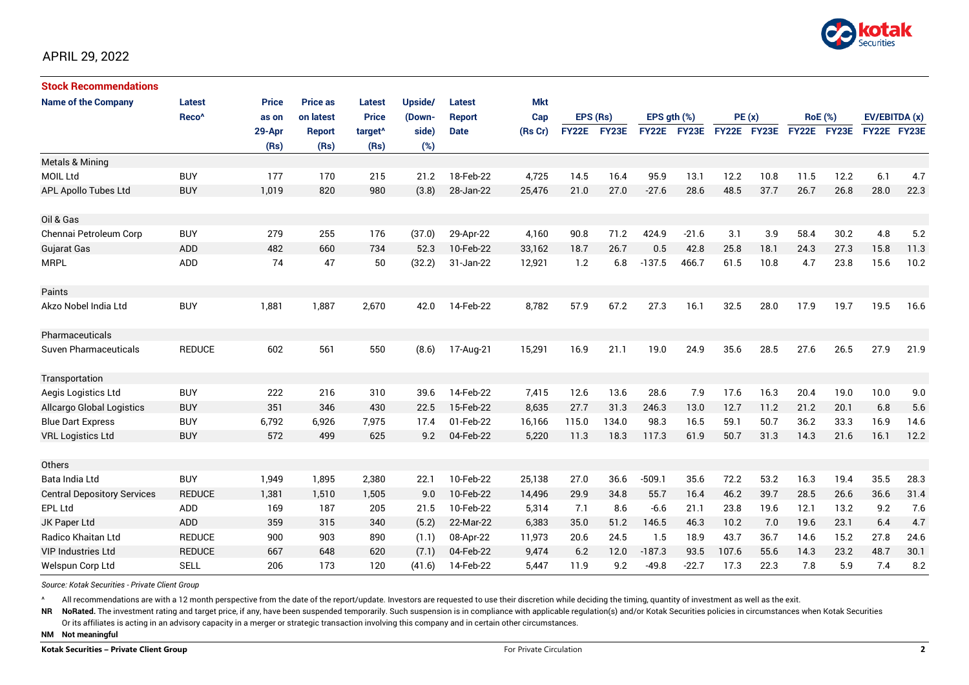

| <b>Stock Recommendations</b>       |                   |              |                 |                     |         |               |            |                 |       |              |         |             |      |                |             |               |      |
|------------------------------------|-------------------|--------------|-----------------|---------------------|---------|---------------|------------|-----------------|-------|--------------|---------|-------------|------|----------------|-------------|---------------|------|
| <b>Name of the Company</b>         | <b>Latest</b>     | <b>Price</b> | <b>Price as</b> | Latest              | Upside/ | <b>Latest</b> | <b>Mkt</b> | EPS (Rs)<br>Cap |       |              |         |             |      |                |             |               |      |
|                                    | Reco <sup>^</sup> | as on        | on latest       | <b>Price</b>        | (Down-  | <b>Report</b> |            |                 |       | EPS gth (%)  |         | PE(x)       |      | <b>RoE</b> (%) |             | EV/EBITDA (x) |      |
|                                    |                   | 29-Apr       | <b>Report</b>   | target <sup>^</sup> | side)   | <b>Date</b>   | (Rs Cr)    | <b>FY22E</b>    | FY23E | <b>FY22E</b> | FY23E   | FY22E FY23E |      |                | FY22E FY23E | FY22E FY23E   |      |
|                                    |                   | (Rs)         | (Rs)            | (Rs)                | (%)     |               |            |                 |       |              |         |             |      |                |             |               |      |
| <b>Metals &amp; Mining</b>         |                   |              |                 |                     |         |               |            |                 |       |              |         |             |      |                |             |               |      |
| <b>MOIL Ltd</b>                    | <b>BUY</b>        | 177          | 170             | 215                 | 21.2    | 18-Feb-22     | 4,725      | 14.5            | 16.4  | 95.9         | 13.1    | 12.2        | 10.8 | 11.5           | 12.2        | 6.1           | 4.7  |
| <b>APL Apollo Tubes Ltd</b>        | <b>BUY</b>        | 1,019        | 820             | 980                 | (3.8)   | 28-Jan-22     | 25,476     | 21.0            | 27.0  | $-27.6$      | 28.6    | 48.5        | 37.7 | 26.7           | 26.8        | 28.0          | 22.3 |
| Oil & Gas                          |                   |              |                 |                     |         |               |            |                 |       |              |         |             |      |                |             |               |      |
| Chennai Petroleum Corp             | <b>BUY</b>        | 279          | 255             | 176                 | (37.0)  | 29-Apr-22     | 4,160      | 90.8            | 71.2  | 424.9        | $-21.6$ | 3.1         | 3.9  | 58.4           | 30.2        | 4.8           | 5.2  |
| Gujarat Gas                        | <b>ADD</b>        | 482          | 660             | 734                 | 52.3    | 10-Feb-22     | 33,162     | 18.7            | 26.7  | 0.5          | 42.8    | 25.8        | 18.1 | 24.3           | 27.3        | 15.8          | 11.3 |
| <b>MRPL</b>                        | ADD               | 74           | 47              | 50                  | (32.2)  | 31-Jan-22     | 12,921     | 1.2             | 6.8   | $-137.5$     | 466.7   | 61.5        | 10.8 | 4.7            | 23.8        | 15.6          | 10.2 |
| Paints                             |                   |              |                 |                     |         |               |            |                 |       |              |         |             |      |                |             |               |      |
| Akzo Nobel India Ltd               | <b>BUY</b>        | 1,881        | 1,887           | 2,670               | 42.0    | 14-Feb-22     | 8,782      | 57.9            | 67.2  | 27.3         | 16.1    | 32.5        | 28.0 | 17.9           | 19.7        | 19.5          | 16.6 |
| Pharmaceuticals                    |                   |              |                 |                     |         |               |            |                 |       |              |         |             |      |                |             |               |      |
| <b>Suven Pharmaceuticals</b>       | <b>REDUCE</b>     | 602          | 561             | 550                 | (8.6)   | 17-Aug-21     | 15,291     | 16.9            | 21.1  | 19.0         | 24.9    | 35.6        | 28.5 | 27.6           | 26.5        | 27.9          | 21.9 |
| Transportation                     |                   |              |                 |                     |         |               |            |                 |       |              |         |             |      |                |             |               |      |
| Aegis Logistics Ltd                | <b>BUY</b>        | 222          | 216             | 310                 | 39.6    | 14-Feb-22     | 7,415      | 12.6            | 13.6  | 28.6         | 7.9     | 17.6        | 16.3 | 20.4           | 19.0        | 10.0          | 9.0  |
| <b>Allcargo Global Logistics</b>   | <b>BUY</b>        | 351          | 346             | 430                 | 22.5    | 15-Feb-22     | 8,635      | 27.7            | 31.3  | 246.3        | 13.0    | 12.7        | 11.2 | 21.2           | 20.1        | 6.8           | 5.6  |
| <b>Blue Dart Express</b>           | <b>BUY</b>        | 6,792        | 6,926           | 7,975               | 17.4    | 01-Feb-22     | 16,166     | 115.0           | 134.0 | 98.3         | 16.5    | 59.1        | 50.7 | 36.2           | 33.3        | 16.9          | 14.6 |
| <b>VRL Logistics Ltd</b>           | <b>BUY</b>        | 572          | 499             | 625                 | 9.2     | 04-Feb-22     | 5,220      | 11.3            | 18.3  | 117.3        | 61.9    | 50.7        | 31.3 | 14.3           | 21.6        | 16.1          | 12.2 |
| Others                             |                   |              |                 |                     |         |               |            |                 |       |              |         |             |      |                |             |               |      |
| Bata India Ltd                     | <b>BUY</b>        | 1,949        | 1,895           | 2,380               | 22.1    | 10-Feb-22     | 25,138     | 27.0            | 36.6  | $-509.1$     | 35.6    | 72.2        | 53.2 | 16.3           | 19.4        | 35.5          | 28.3 |
| <b>Central Depository Services</b> | <b>REDUCE</b>     | 1,381        | 1,510           | 1,505               | 9.0     | 10-Feb-22     | 14,496     | 29.9            | 34.8  | 55.7         | 16.4    | 46.2        | 39.7 | 28.5           | 26.6        | 36.6          | 31.4 |
| <b>EPL Ltd</b>                     | ADD               | 169          | 187             | 205                 | 21.5    | 10-Feb-22     | 5,314      | 7.1             | 8.6   | $-6.6$       | 21.1    | 23.8        | 19.6 | 12.1           | 13.2        | 9.2           | 7.6  |
| JK Paper Ltd                       | ADD               | 359          | 315             | 340                 | (5.2)   | 22-Mar-22     | 6,383      | 35.0            | 51.2  | 146.5        | 46.3    | 10.2        | 7.0  | 19.6           | 23.1        | 6.4           | 4.7  |
| <b>Radico Khaitan Ltd</b>          | <b>REDUCE</b>     | 900          | 903             | 890                 | (1.1)   | 08-Apr-22     | 11,973     | 20.6            | 24.5  | 1.5          | 18.9    | 43.7        | 36.7 | 14.6           | 15.2        | 27.8          | 24.6 |
| <b>VIP Industries Ltd</b>          | <b>REDUCE</b>     | 667          | 648             | 620                 | (7.1)   | 04-Feb-22     | 9,474      | 6.2             | 12.0  | $-187.3$     | 93.5    | 107.6       | 55.6 | 14.3           | 23.2        | 48.7          | 30.1 |
| Welspun Corp Ltd                   | <b>SELL</b>       | 206          | 173             | 120                 | (41.6)  | 14-Feb-22     | 5,447      | 11.9            | 9.2   | $-49.8$      | $-22.7$ | 17.3        | 22.3 | 7.8            | 5.9         | 7.4           | 8.2  |

*Source: Kotak Securities - Private Client Group*

All recommendations are with a 12 month perspective from the date of the report/update. Investors are requested to use their discretion while deciding the timing, quantity of investment as well as the exit.

NR NoRated. The investment rating and target price, if any, have been suspended temporarily. Such suspension is in compliance with applicable regulation(s) and/or Kotak Securities policies in circumstances when Kotak Secur

Or its affiliates is acting in an advisory capacity in a merger or strategic transaction involving this company and in certain other circumstances.

**NM Not meaningful**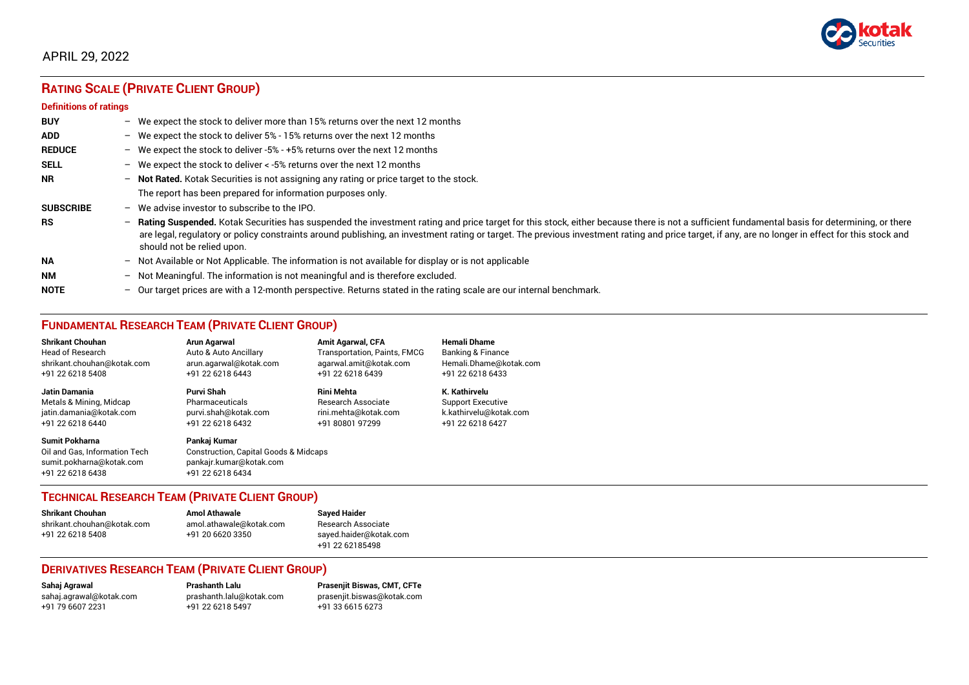

# **RATING SCALE (PRIVATE CLIENT GROUP)**

#### **Definitions of ratings**

| <b>BUY</b>       | $-$                      | We expect the stock to deliver more than 15% returns over the next 12 months                                                                                                                                                                                                                                                                                                                                                     |
|------------------|--------------------------|----------------------------------------------------------------------------------------------------------------------------------------------------------------------------------------------------------------------------------------------------------------------------------------------------------------------------------------------------------------------------------------------------------------------------------|
| <b>ADD</b>       |                          | - We expect the stock to deliver $5\%$ - 15% returns over the next 12 months                                                                                                                                                                                                                                                                                                                                                     |
| <b>REDUCE</b>    | $-$                      | We expect the stock to deliver -5% - +5% returns over the next 12 months                                                                                                                                                                                                                                                                                                                                                         |
| <b>SELL</b>      |                          | - We expect the stock to deliver $\lt$ -5% returns over the next 12 months                                                                                                                                                                                                                                                                                                                                                       |
| <b>NR</b>        | $-$                      | Not Rated. Kotak Securities is not assigning any rating or price target to the stock.                                                                                                                                                                                                                                                                                                                                            |
|                  |                          | The report has been prepared for information purposes only.                                                                                                                                                                                                                                                                                                                                                                      |
| <b>SUBSCRIBE</b> | $\overline{\phantom{0}}$ | We advise investor to subscribe to the IPO.                                                                                                                                                                                                                                                                                                                                                                                      |
| <b>RS</b>        | $-$                      | Rating Suspended. Kotak Securities has suspended the investment rating and price target for this stock, either because there is not a sufficient fundamental basis for determining, or there<br>are legal, regulatory or policy constraints around publishing, an investment rating or target. The previous investment rating and price target, if any, are no longer in effect for this stock and<br>should not be relied upon. |
| <b>NA</b>        |                          | $-$ Not Available or Not Applicable. The information is not available for display or is not applicable                                                                                                                                                                                                                                                                                                                           |
| <b>NM</b>        | $-$                      | Not Meaningful. The information is not meaningful and is therefore excluded.                                                                                                                                                                                                                                                                                                                                                     |
| <b>NOTE</b>      | $-$                      | Our target prices are with a 12-month perspective. Returns stated in the rating scale are our internal benchmark.                                                                                                                                                                                                                                                                                                                |

## **FUNDAMENTAL RESEARCH TEAM (PRIVATE CLIENT GROUP)**

| <b>Shrikant Chouhan</b>                                                                                | Arun Agarwal                                                                                                    | <b>Amit Agarwal, CFA</b>     | <b>Hemali Dhame</b>      |
|--------------------------------------------------------------------------------------------------------|-----------------------------------------------------------------------------------------------------------------|------------------------------|--------------------------|
| <b>Head of Research</b>                                                                                | Auto & Auto Ancillary                                                                                           | Transportation, Paints, FMCG | Banking & Finance        |
| shrikant.chouhan@kotak.com                                                                             | arun.agarwal@kotak.com                                                                                          | agarwal.amit@kotak.com       | Hemali.Dhame@kotak.com   |
| +91 22 6218 5408                                                                                       | +91 22 6218 6443                                                                                                | +91 22 6218 6439             | +91 22 6218 6433         |
| <b>Jatin Damania</b>                                                                                   | <b>Purvi Shah</b>                                                                                               | <b>Rini Mehta</b>            | K. Kathirvelu            |
| Metals & Mining, Midcap                                                                                | Pharmaceuticals                                                                                                 | Research Associate           | <b>Support Executive</b> |
| jatin.damania@kotak.com                                                                                | purvi.shah@kotak.com                                                                                            | rini.mehta@kotak.com         | k.kathirvelu@kotak.com   |
| +91 22 6218 6440                                                                                       | +91 22 6218 6432                                                                                                | +91 80801 97299              | +91 22 6218 6427         |
| <b>Sumit Pokharna</b><br>Oil and Gas. Information Tech<br>sumit.pokharna@kotak.com<br>+91 22 6218 6438 | Pankaj Kumar<br><b>Construction, Capital Goods &amp; Midcaps</b><br>pankajr.kumar@kotak.com<br>+91 22 6218 6434 |                              |                          |

## **TECHNICAL RESEARCH TEAM (PRIVATE CLIENT GROUP)**

| <b>Shrikant Chouhan</b>    | <b>Amol Athawale</b>    |  |
|----------------------------|-------------------------|--|
| shrikant.chouhan@kotak.com | amol.athawale@kotak.com |  |
| +91 22 6218 5408           | +91 20 6620 3350        |  |
|                            |                         |  |

#### **Sayed Haider** Research Associate [sayed.haider@kotak.com](mailto:sayed.haider@kotak.com) +91 22 62185498

## **DERIVATIVES RESEARCH TEAM (PRIVATE CLIENT GROUP)**

+91 22 6218 5497 +91 33 6615 6273

**Sahaj Agrawal Prashanth Lalu Prasenjit Biswas, CMT, CFTe** [sahaj.agrawal@kotak.com](mailto:sahaj.agrawal@kotak.com) [prashanth.lalu@kotak.com](mailto:prashanth.lalu@kotak.com) [prasenjit.biswas@kotak.com](mailto:prasenjit.biswas@kotak.com)